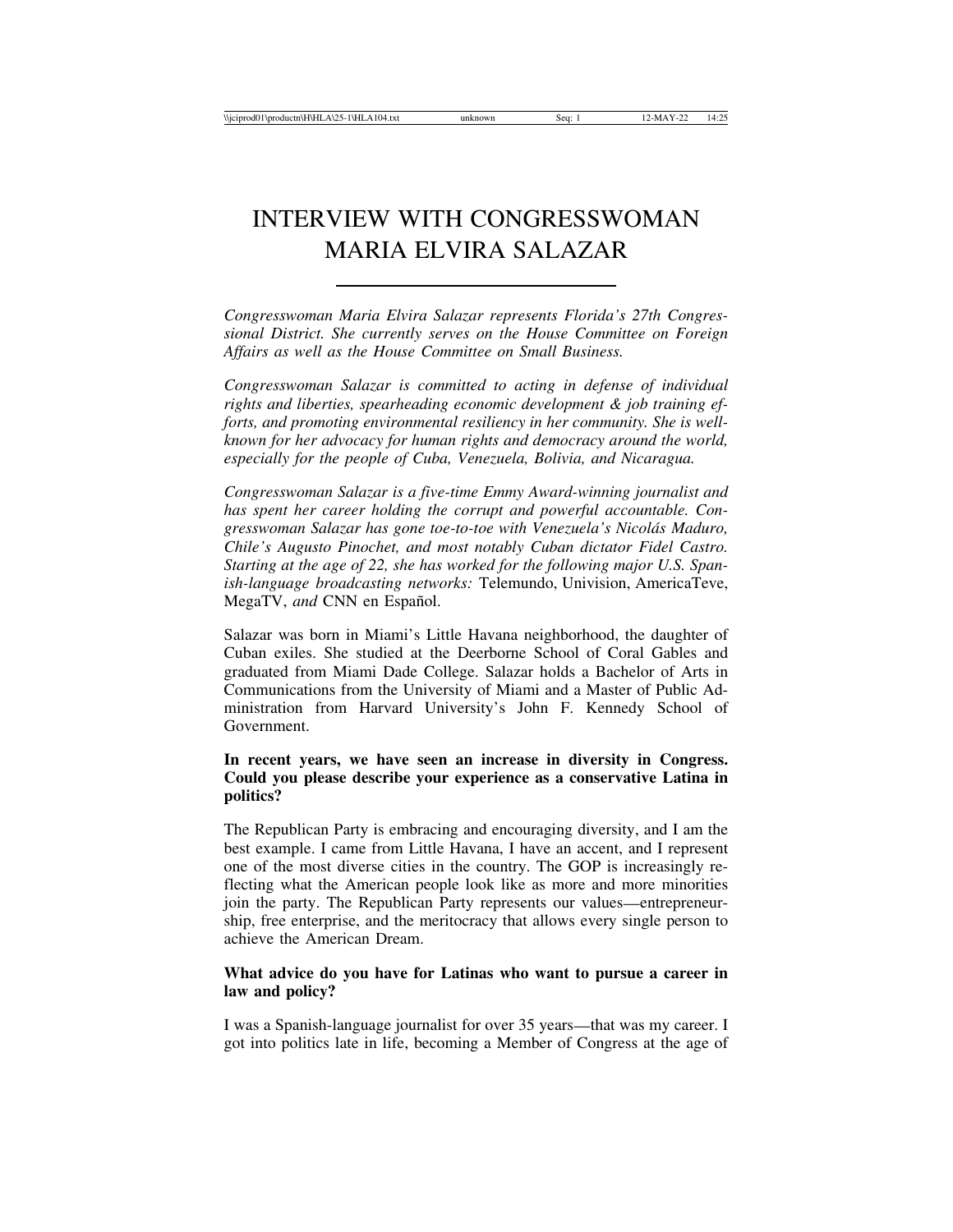# INTERVIEW WITH CONGRESSWOMAN MARIA ELVIRA SALAZAR

*Congresswoman Maria Elvira Salazar represents Florida's 27th Congressional District. She currently serves on the House Committee on Foreign Affairs as well as the House Committee on Small Business.*

*Congresswoman Salazar is committed to acting in defense of individual rights and liberties, spearheading economic development & job training efforts, and promoting environmental resiliency in her community. She is wellknown for her advocacy for human rights and democracy around the world, especially for the people of Cuba, Venezuela, Bolivia, and Nicaragua.*

*Congresswoman Salazar is a five-time Emmy Award-winning journalist and has spent her career holding the corrupt and powerful accountable. Congresswoman Salazar has gone toe-to-toe with Venezuela's Nicol´as Maduro, Chile's Augusto Pinochet, and most notably Cuban dictator Fidel Castro. Starting at the age of 22, she has worked for the following major U.S. Spanish-language broadcasting networks:* Telemundo, Univision, AmericaTeve, MegaTV, and CNN en Español.

Salazar was born in Miami's Little Havana neighborhood, the daughter of Cuban exiles. She studied at the Deerborne School of Coral Gables and graduated from Miami Dade College. Salazar holds a Bachelor of Arts in Communications from the University of Miami and a Master of Public Administration from Harvard University's John F. Kennedy School of Government.

## **In recent years, we have seen an increase in diversity in Congress. Could you please describe your experience as a conservative Latina in politics?**

The Republican Party is embracing and encouraging diversity, and I am the best example. I came from Little Havana, I have an accent, and I represent one of the most diverse cities in the country. The GOP is increasingly reflecting what the American people look like as more and more minorities join the party. The Republican Party represents our values—entrepreneurship, free enterprise, and the meritocracy that allows every single person to achieve the American Dream.

## **What advice do you have for Latinas who want to pursue a career in law and policy?**

I was a Spanish-language journalist for over 35 years—that was my career. I got into politics late in life, becoming a Member of Congress at the age of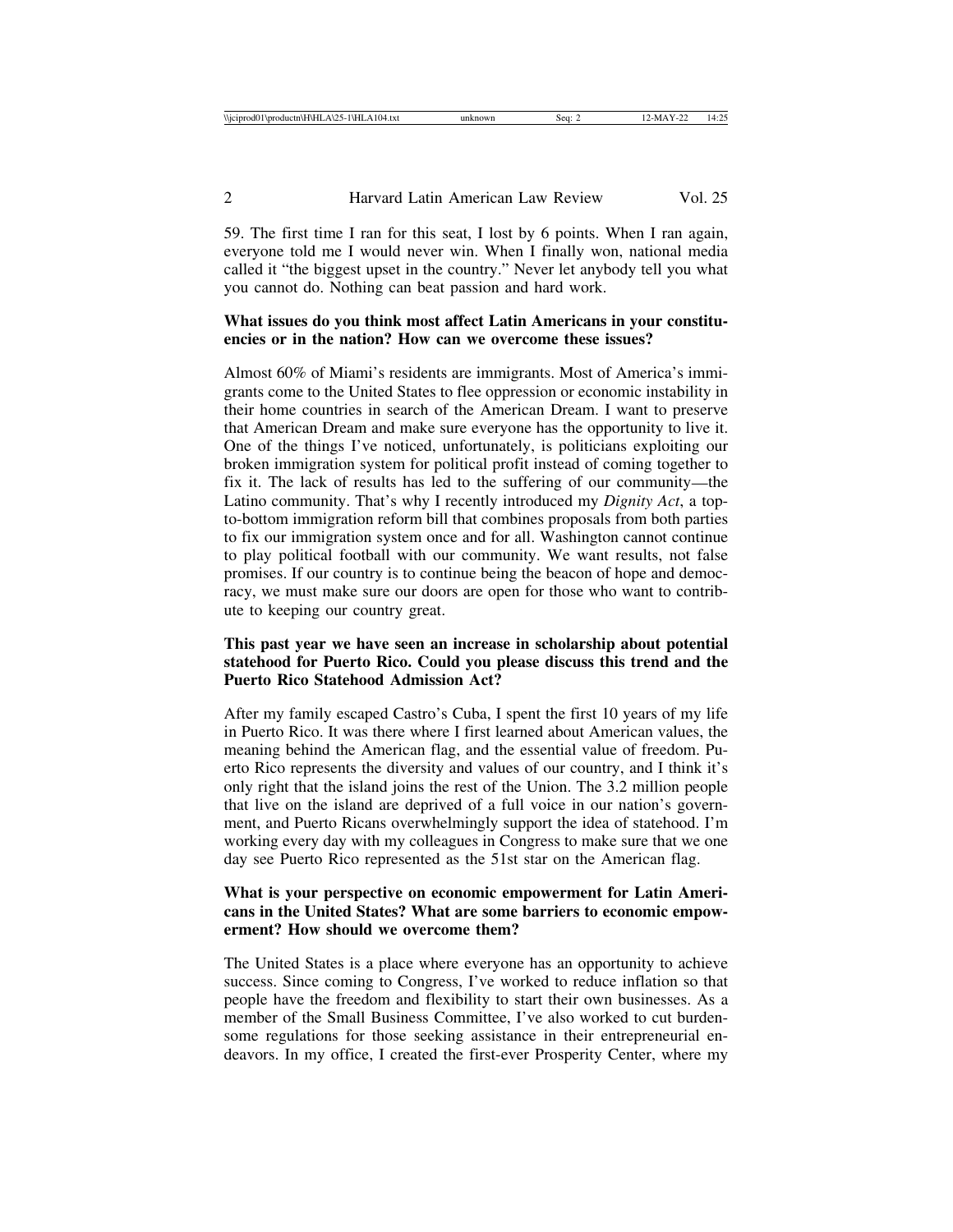59. The first time I ran for this seat, I lost by 6 points. When I ran again, everyone told me I would never win. When I finally won, national media called it "the biggest upset in the country." Never let anybody tell you what you cannot do. Nothing can beat passion and hard work.

### **What issues do you think most affect Latin Americans in your constituencies or in the nation? How can we overcome these issues?**

Almost 60% of Miami's residents are immigrants. Most of America's immigrants come to the United States to flee oppression or economic instability in their home countries in search of the American Dream. I want to preserve that American Dream and make sure everyone has the opportunity to live it. One of the things I've noticed, unfortunately, is politicians exploiting our broken immigration system for political profit instead of coming together to fix it. The lack of results has led to the suffering of our community—the Latino community. That's why I recently introduced my *Dignity Act*, a topto-bottom immigration reform bill that combines proposals from both parties to fix our immigration system once and for all. Washington cannot continue to play political football with our community. We want results, not false promises. If our country is to continue being the beacon of hope and democracy, we must make sure our doors are open for those who want to contribute to keeping our country great.

### **This past year we have seen an increase in scholarship about potential statehood for Puerto Rico. Could you please discuss this trend and the Puerto Rico Statehood Admission Act?**

After my family escaped Castro's Cuba, I spent the first 10 years of my life in Puerto Rico. It was there where I first learned about American values, the meaning behind the American flag, and the essential value of freedom. Puerto Rico represents the diversity and values of our country, and I think it's only right that the island joins the rest of the Union. The 3.2 million people that live on the island are deprived of a full voice in our nation's government, and Puerto Ricans overwhelmingly support the idea of statehood. I'm working every day with my colleagues in Congress to make sure that we one day see Puerto Rico represented as the 51st star on the American flag.

## **What is your perspective on economic empowerment for Latin Americans in the United States? What are some barriers to economic empowerment? How should we overcome them?**

The United States is a place where everyone has an opportunity to achieve success. Since coming to Congress, I've worked to reduce inflation so that people have the freedom and flexibility to start their own businesses. As a member of the Small Business Committee, I've also worked to cut burdensome regulations for those seeking assistance in their entrepreneurial endeavors. In my office, I created the first-ever Prosperity Center, where my